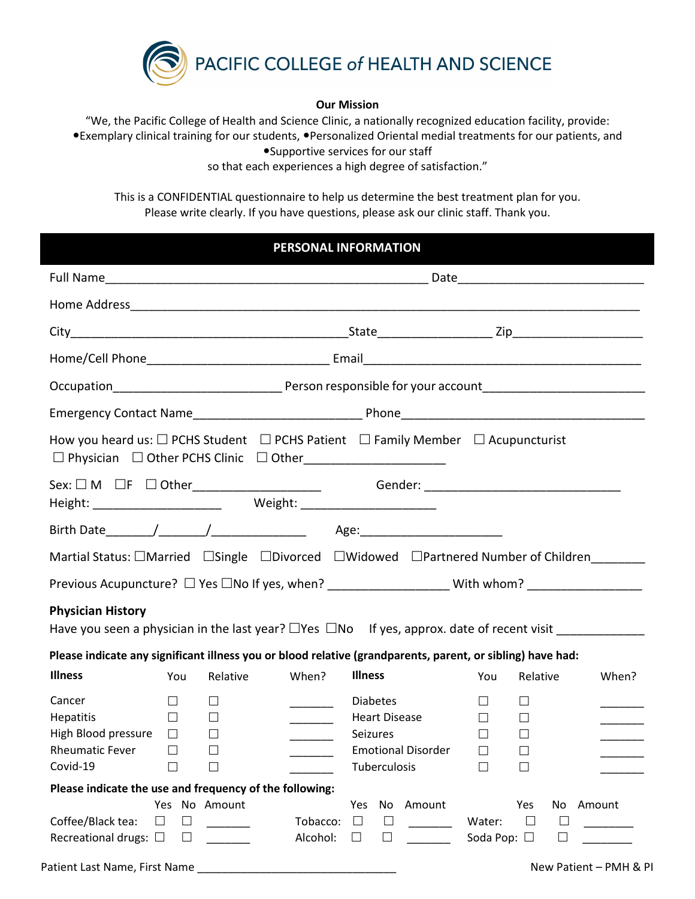

#### **Our Mission**

"We, the Pacific College of Health and Science Clinic, a nationally recognized education facility, provide: Exemplary clinical training for our students, Personalized Oriental medial treatments for our patients, and

Supportive services for our staff

so that each experiences a high degree of satisfaction."

This is a CONFIDENTIAL questionnaire to help us determine the best treatment plan for you. Please write clearly. If you have questions, please ask our clinic staff. Thank you.

### **PERSONAL INFORMATION**

| How you heard us: $\Box$ PCHS Student $\Box$ PCHS Patient $\Box$ Family Member $\Box$ Acupuncturist                   |                                                                                                                                                                                                               |                                                                |                      |                                                                                                  |        |                                            |                                                  |                        |        |
|-----------------------------------------------------------------------------------------------------------------------|---------------------------------------------------------------------------------------------------------------------------------------------------------------------------------------------------------------|----------------------------------------------------------------|----------------------|--------------------------------------------------------------------------------------------------|--------|--------------------------------------------|--------------------------------------------------|------------------------|--------|
| Sex: □ M □F □ Other_______________________    Gender: __________________________                                      |                                                                                                                                                                                                               |                                                                |                      |                                                                                                  |        |                                            |                                                  |                        |        |
|                                                                                                                       |                                                                                                                                                                                                               |                                                                |                      |                                                                                                  |        |                                            |                                                  |                        |        |
|                                                                                                                       |                                                                                                                                                                                                               |                                                                |                      |                                                                                                  |        |                                            |                                                  |                        |        |
|                                                                                                                       |                                                                                                                                                                                                               |                                                                |                      |                                                                                                  |        |                                            |                                                  |                        |        |
| <b>Physician History</b>                                                                                              | Previous Acupuncture? □ Yes □No If yes, when? __________________________With whom? _________________<br>Have you seen a physician in the last year? $\Box$ Yes $\Box$ No If yes, approx. date of recent visit |                                                                |                      |                                                                                                  |        |                                            |                                                  |                        |        |
|                                                                                                                       | Please indicate any significant illness you or blood relative (grandparents, parent, or sibling) have had:                                                                                                    |                                                                |                      |                                                                                                  |        |                                            |                                                  |                        |        |
| <b>Illness</b>                                                                                                        | You                                                                                                                                                                                                           | Relative                                                       | When?                | <b>Illness</b>                                                                                   |        | You                                        | Relative                                         |                        | When?  |
| Cancer<br><b>Hepatitis</b><br>High Blood pressure $\Box$<br><b>Rheumatic Fever</b><br>$Covid-19$ $\qquad \qquad \Box$ | $\Box$<br>$\Box$<br>$\Box$                                                                                                                                                                                    | $\Box$<br>$\Box$<br>$\Box$<br>Ш<br>$\mathcal{L}^{\mathcal{L}}$ |                      | <b>Diabetes</b><br><b>Heart Disease</b><br>Seizures<br><b>Emotional Disorder</b><br>Tuberculosis |        | $\Box$<br>$\Box$<br>П.<br>$\Box$<br>$\Box$ | $\perp$<br>$\Box$<br>$\Box$<br>$\perp$<br>$\Box$ |                        |        |
| Please indicate the use and frequency of the following:                                                               |                                                                                                                                                                                                               |                                                                |                      |                                                                                                  |        |                                            |                                                  |                        |        |
| Coffee/Black tea:<br>$\Box$<br>Recreational drugs: $\square$                                                          | $\Box$<br>⊔                                                                                                                                                                                                   | Yes No Amount                                                  | Tobacco:<br>Alcohol: | Yes<br>No<br>$\Box$<br>$\Box$<br>$\Box$<br>$\Box$                                                | Amount | Water:<br>Soda Pop: □                      | Yes<br>$\Box$                                    | No<br>$\Box$<br>$\Box$ | Amount |

Patient Last Name, First Name \_\_\_\_\_\_\_\_\_\_\_\_\_\_\_\_\_\_\_\_\_\_\_\_\_\_\_\_\_\_\_\_ New Patient – PMH & PI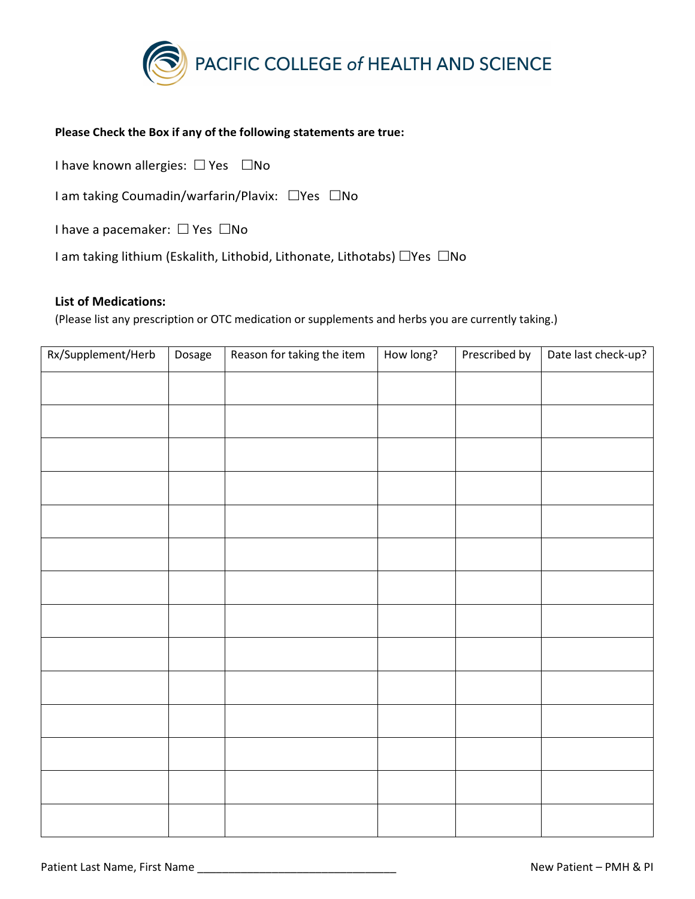

#### **Please Check the Box if any of the following statements are true:**

I have known allergies:  $\Box$  Yes  $\Box$  No

I am taking Coumadin/warfarin/Plavix:  $\Box$ Yes  $\Box$ No

I have a pacemaker:  $\Box$  Yes  $\Box$ No

I am taking lithium (Eskalith, Lithobid, Lithonate, Lithotabs)  $\Box$ Yes  $\Box$ No

#### **List of Medications:**

(Please list any prescription or OTC medication or supplements and herbs you are currently taking.)

| Rx/Supplement/Herb | Dosage | Reason for taking the item | How long? | Prescribed by | Date last check-up? |
|--------------------|--------|----------------------------|-----------|---------------|---------------------|
|                    |        |                            |           |               |                     |
|                    |        |                            |           |               |                     |
|                    |        |                            |           |               |                     |
|                    |        |                            |           |               |                     |
|                    |        |                            |           |               |                     |
|                    |        |                            |           |               |                     |
|                    |        |                            |           |               |                     |
|                    |        |                            |           |               |                     |
|                    |        |                            |           |               |                     |
|                    |        |                            |           |               |                     |
|                    |        |                            |           |               |                     |
|                    |        |                            |           |               |                     |
|                    |        |                            |           |               |                     |
|                    |        |                            |           |               |                     |
|                    |        |                            |           |               |                     |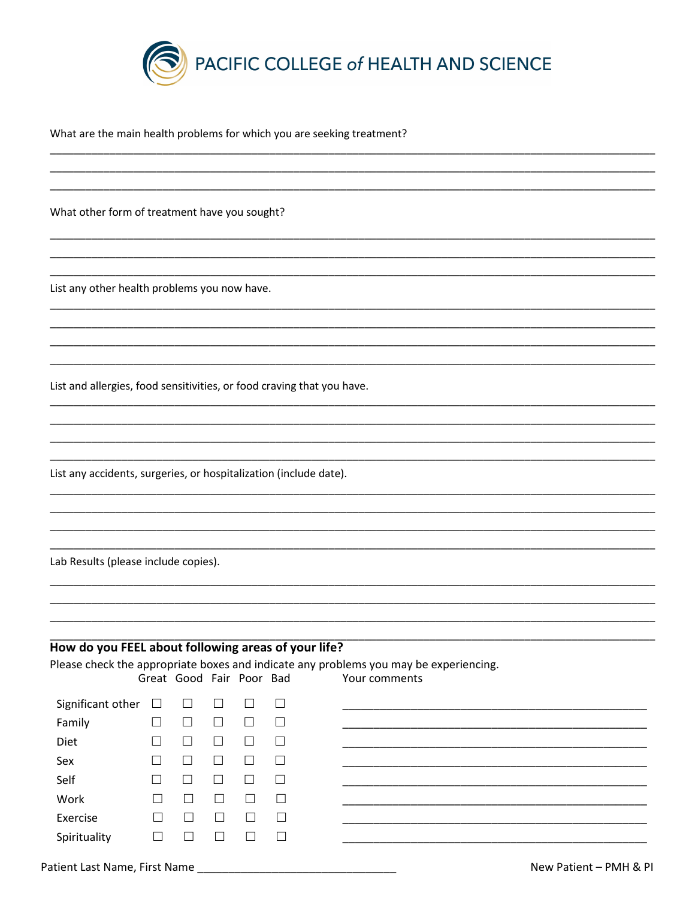

What are the main health problems for which you are seeking treatment?

What other form of treatment have you sought?

List any other health problems you now have.

List and allergies, food sensitivities, or food craving that you have.

List any accidents, surgeries, or hospitalization (include date).

Lab Results (please include copies).

### How do you FEEL about following areas of your life?

Please check the appropriate boxes and indicate any problems you may be experiencing.

|                          |              | Great Good Fair Poor Bad |                             |        |         | Your comments |
|--------------------------|--------------|--------------------------|-----------------------------|--------|---------|---------------|
| Significant other $\Box$ |              | $\Box$                   | $\Box$                      | $\Box$ | $\Box$  |               |
| Family                   | $\mathsf{L}$ |                          | $\mathcal{L}_{\mathcal{A}}$ |        | □       |               |
| Diet                     |              |                          | $\overline{\phantom{a}}$    |        | $\Box$  |               |
| Sex                      |              |                          |                             |        |         |               |
| Self                     | $\mathsf{L}$ |                          |                             |        | $\Box$  |               |
| Work                     |              |                          |                             |        | $\perp$ |               |
| Exercise                 |              |                          | L.                          | ×      | $\Box$  |               |
| Spirituality             |              |                          |                             |        | $\Box$  |               |
|                          |              |                          |                             |        |         |               |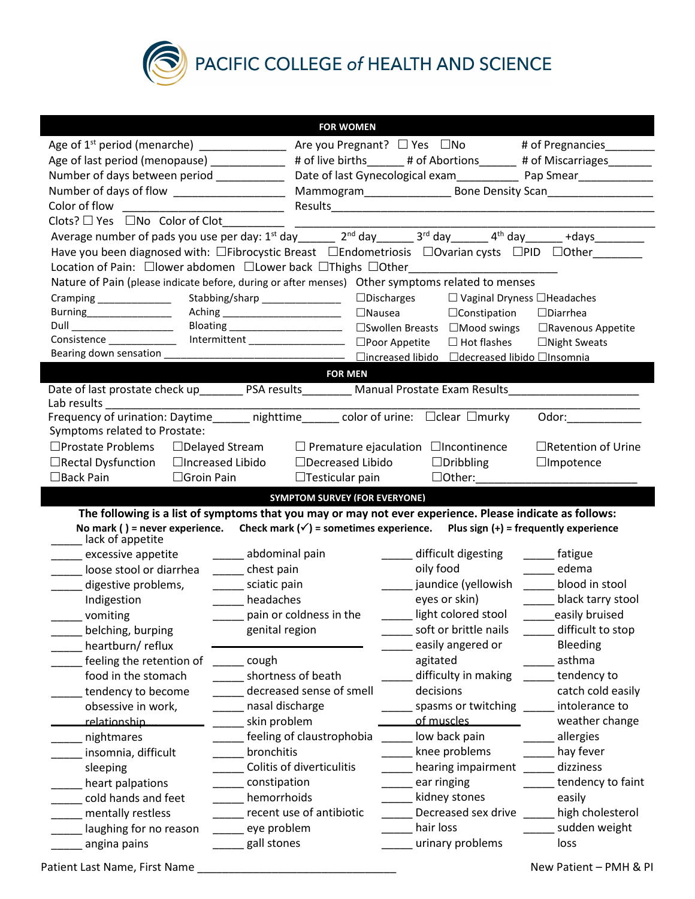

PACIFIC COLLEGE of HEALTH AND SCIENCE

|                                                                                                                                                                    | <b>FOR WOMEN</b>                                                                                                         |                                                                                                                |                                                                                                                                                                                                                                |  |  |  |
|--------------------------------------------------------------------------------------------------------------------------------------------------------------------|--------------------------------------------------------------------------------------------------------------------------|----------------------------------------------------------------------------------------------------------------|--------------------------------------------------------------------------------------------------------------------------------------------------------------------------------------------------------------------------------|--|--|--|
|                                                                                                                                                                    |                                                                                                                          |                                                                                                                |                                                                                                                                                                                                                                |  |  |  |
| Age of last period (menopause) ____________                                                                                                                        |                                                                                                                          | # of live births ______ # of Abortions ______ # of Miscarriages _______                                        |                                                                                                                                                                                                                                |  |  |  |
| Number of days between period ___________                                                                                                                          |                                                                                                                          |                                                                                                                |                                                                                                                                                                                                                                |  |  |  |
|                                                                                                                                                                    |                                                                                                                          |                                                                                                                |                                                                                                                                                                                                                                |  |  |  |
| Color of flow the color of the color of the color of the color of the color of the color of the color                                                              |                                                                                                                          |                                                                                                                |                                                                                                                                                                                                                                |  |  |  |
| $Clots? \Box Yes \Box No \ Color \ of \ Clot$                                                                                                                      |                                                                                                                          |                                                                                                                |                                                                                                                                                                                                                                |  |  |  |
| Average number of pads you use per day: 1 <sup>st</sup> day ______ 2 <sup>nd</sup> day ______ 3 <sup>rd</sup> day ______ 4 <sup>th</sup> day ______ +days ________ |                                                                                                                          |                                                                                                                |                                                                                                                                                                                                                                |  |  |  |
| Have you been diagnosed with: □Fibrocystic Breast □Endometriosis □Ovarian cysts □PID □Other_______                                                                 |                                                                                                                          |                                                                                                                |                                                                                                                                                                                                                                |  |  |  |
| Location of Pain: Clower abdomen Clower back CThighs COther_____________________                                                                                   |                                                                                                                          |                                                                                                                |                                                                                                                                                                                                                                |  |  |  |
| Nature of Pain (please indicate before, during or after menses) Other symptoms related to menses                                                                   |                                                                                                                          |                                                                                                                |                                                                                                                                                                                                                                |  |  |  |
| Cramping _______________                                                                                                                                           | Stabbing/sharp ________________ □Discharges □ Vaginal Dryness □Headaches                                                 |                                                                                                                |                                                                                                                                                                                                                                |  |  |  |
| Burning___________________                                                                                                                                         | Aching ___________________________ □Nausea □Constipation                                                                 |                                                                                                                | $\Box$ Diarrhea                                                                                                                                                                                                                |  |  |  |
| Dull _______________________                                                                                                                                       | Bloating ______________________ □Swollen Breasts □Mood swings □Ravenous Appetite                                         |                                                                                                                |                                                                                                                                                                                                                                |  |  |  |
| Consistence _______________ Intermittent ___________________ □Poor Appetite □ Hot flashes □ Night Sweats                                                           |                                                                                                                          |                                                                                                                |                                                                                                                                                                                                                                |  |  |  |
|                                                                                                                                                                    |                                                                                                                          |                                                                                                                |                                                                                                                                                                                                                                |  |  |  |
|                                                                                                                                                                    | <b>EOR MEN</b>                                                                                                           |                                                                                                                |                                                                                                                                                                                                                                |  |  |  |
| Date of last prostate check up___________ PSA results___________ Manual Prostate Exam Results_________________                                                     |                                                                                                                          |                                                                                                                |                                                                                                                                                                                                                                |  |  |  |
|                                                                                                                                                                    |                                                                                                                          |                                                                                                                |                                                                                                                                                                                                                                |  |  |  |
|                                                                                                                                                                    |                                                                                                                          |                                                                                                                | Odor: and the control of the control of the control of the control of the control of the control of the control of the control of the control of the control of the control of the control of the control of the control of th |  |  |  |
| Symptoms related to Prostate:                                                                                                                                      |                                                                                                                          |                                                                                                                |                                                                                                                                                                                                                                |  |  |  |
| □Prostate Problems                                                                                                                                                 | $\Box$ Delayed Stream $\Box$ Premature ejaculation $\Box$ Incontinence                                                   |                                                                                                                | $\Box$ Retention of Urine                                                                                                                                                                                                      |  |  |  |
| $\Box$ Rectal Dysfunction<br>$\Box$ Increased Libido<br>$\Box$ Back Pain                                                                                           | $\Box$ Decreased Libido                                                                                                  | $\Box$ Dribbling                                                                                               | $\Box$ Impotence                                                                                                                                                                                                               |  |  |  |
| $\Box$ Groin Pain                                                                                                                                                  | $\Box$ Testicular pain                                                                                                   | $\Box$ Other:                                                                                                  |                                                                                                                                                                                                                                |  |  |  |
|                                                                                                                                                                    |                                                                                                                          |                                                                                                                |                                                                                                                                                                                                                                |  |  |  |
|                                                                                                                                                                    | <b>SYMPTOM SURVEY (FOR EVERYONE)</b>                                                                                     |                                                                                                                |                                                                                                                                                                                                                                |  |  |  |
|                                                                                                                                                                    | The following is a list of symptoms that you may or may not ever experience. Please indicate as follows:                 |                                                                                                                |                                                                                                                                                                                                                                |  |  |  |
|                                                                                                                                                                    | No mark () = never experience. Check mark $(\checkmark)$ = sometimes experience. Plus sign $(+)$ = frequently experience |                                                                                                                |                                                                                                                                                                                                                                |  |  |  |
| __ lack of appetite                                                                                                                                                |                                                                                                                          |                                                                                                                |                                                                                                                                                                                                                                |  |  |  |
| excessive appetite                                                                                                                                                 | _____ abdominal pain                                                                                                     | difficult digesting                                                                                            | _______ fatigue                                                                                                                                                                                                                |  |  |  |
| loose stool or diarrhea                                                                                                                                            | chest pain                                                                                                               | oily food and the state of the state of the state of the state of the state of the state of the state of the s | _____ edema                                                                                                                                                                                                                    |  |  |  |
| digestive problems,                                                                                                                                                | sciatic pain                                                                                                             | jaundice (yellowish ___ blood in stool                                                                         |                                                                                                                                                                                                                                |  |  |  |
| Indigestion                                                                                                                                                        | headaches                                                                                                                |                                                                                                                | eyes or skin) ________ black tarry stool                                                                                                                                                                                       |  |  |  |
| vomiting                                                                                                                                                           | _____ pain or coldness in the                                                                                            | _____ light colored stool _____easily bruised                                                                  |                                                                                                                                                                                                                                |  |  |  |
| belching, burping                                                                                                                                                  | genital region                                                                                                           | soft or brittle nails<br>easily angered or                                                                     | difficult to stop<br>Bleeding                                                                                                                                                                                                  |  |  |  |
| heartburn/reflux<br>feeling the retention of                                                                                                                       | cough                                                                                                                    | agitated                                                                                                       | asthma                                                                                                                                                                                                                         |  |  |  |
| food in the stomach                                                                                                                                                | shortness of beath                                                                                                       | difficulty in making                                                                                           | tendency to                                                                                                                                                                                                                    |  |  |  |
|                                                                                                                                                                    | decreased sense of smell                                                                                                 | decisions                                                                                                      | catch cold easily                                                                                                                                                                                                              |  |  |  |
| tendency to become<br>obsessive in work,                                                                                                                           | nasal discharge                                                                                                          | spasms or twitching                                                                                            | intolerance to                                                                                                                                                                                                                 |  |  |  |
| relationship                                                                                                                                                       | skin problem                                                                                                             | of muscles                                                                                                     | weather change                                                                                                                                                                                                                 |  |  |  |
|                                                                                                                                                                    | feeling of claustrophobia                                                                                                | low back pain                                                                                                  | allergies                                                                                                                                                                                                                      |  |  |  |
| nightmares<br>insomnia, difficult                                                                                                                                  | bronchitis                                                                                                               | knee problems                                                                                                  | hay fever                                                                                                                                                                                                                      |  |  |  |
| sleeping                                                                                                                                                           | Colitis of diverticulitis                                                                                                | hearing impairment                                                                                             | dizziness                                                                                                                                                                                                                      |  |  |  |
| heart palpations                                                                                                                                                   | constipation                                                                                                             | ear ringing                                                                                                    | tendency to faint                                                                                                                                                                                                              |  |  |  |
| cold hands and feet                                                                                                                                                | hemorrhoids                                                                                                              | kidney stones                                                                                                  | easily                                                                                                                                                                                                                         |  |  |  |
| mentally restless                                                                                                                                                  | recent use of antibiotic                                                                                                 | Decreased sex drive                                                                                            | high cholesterol                                                                                                                                                                                                               |  |  |  |
| laughing for no reason                                                                                                                                             | eye problem                                                                                                              | hair loss                                                                                                      | sudden weight                                                                                                                                                                                                                  |  |  |  |
| angina pains                                                                                                                                                       | gall stones                                                                                                              | urinary problems                                                                                               | loss                                                                                                                                                                                                                           |  |  |  |

Patient Last Name, First Name \_\_\_\_\_\_\_\_\_\_\_\_\_\_\_\_\_\_\_\_\_\_\_\_\_\_\_\_\_\_\_\_ New Patient – PMH & PI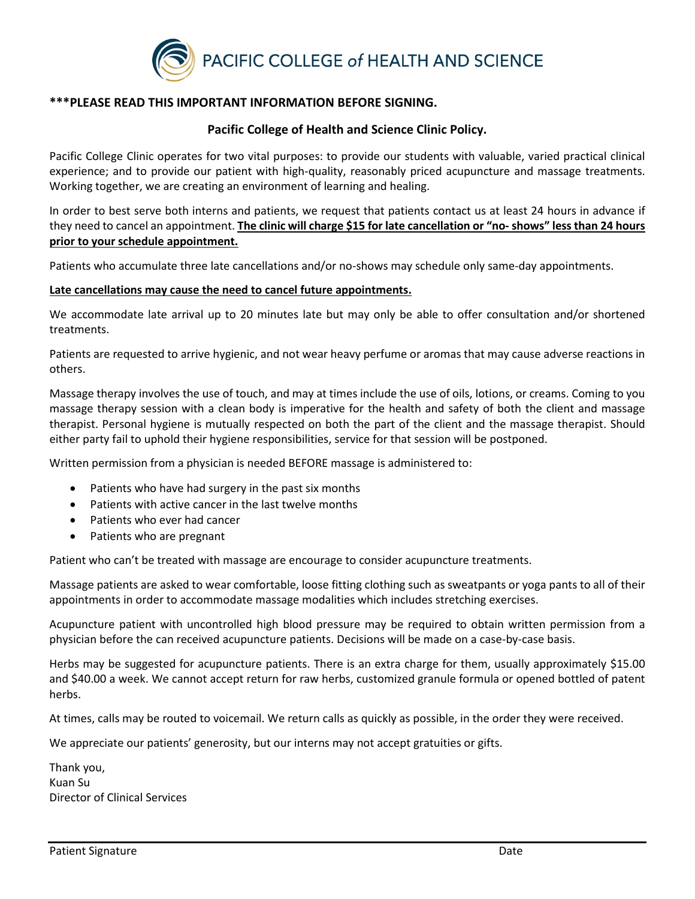

### **\*\*\*PLEASE READ THIS IMPORTANT INFORMATION BEFORE SIGNING.**

#### **Pacific College of Health and Science Clinic Policy.**

Pacific College Clinic operates for two vital purposes: to provide our students with valuable, varied practical clinical experience; and to provide our patient with high-quality, reasonably priced acupuncture and massage treatments. Working together, we are creating an environment of learning and healing.

In order to best serve both interns and patients, we request that patients contact us at least 24 hours in advance if they need to cancel an appointment. **The clinic will charge \$15 for late cancellation or "no- shows" less than 24 hours prior to your schedule appointment.** 

Patients who accumulate three late cancellations and/or no-shows may schedule only same-day appointments.

#### **Late cancellations may cause the need to cancel future appointments.**

We accommodate late arrival up to 20 minutes late but may only be able to offer consultation and/or shortened treatments.

Patients are requested to arrive hygienic, and not wear heavy perfume or aromas that may cause adverse reactions in others.

Massage therapy involves the use of touch, and may at times include the use of oils, lotions, or creams. Coming to you massage therapy session with a clean body is imperative for the health and safety of both the client and massage therapist. Personal hygiene is mutually respected on both the part of the client and the massage therapist. Should either party fail to uphold their hygiene responsibilities, service for that session will be postponed.

Written permission from a physician is needed BEFORE massage is administered to:

- Patients who have had surgery in the past six months
- Patients with active cancer in the last twelve months
- Patients who ever had cancer
- Patients who are pregnant

Patient who can't be treated with massage are encourage to consider acupuncture treatments.

Massage patients are asked to wear comfortable, loose fitting clothing such as sweatpants or yoga pants to all of their appointments in order to accommodate massage modalities which includes stretching exercises.

Acupuncture patient with uncontrolled high blood pressure may be required to obtain written permission from a physician before the can received acupuncture patients. Decisions will be made on a case-by-case basis.

Herbs may be suggested for acupuncture patients. There is an extra charge for them, usually approximately \$15.00 and \$40.00 a week. We cannot accept return for raw herbs, customized granule formula or opened bottled of patent herbs.

At times, calls may be routed to voicemail. We return calls as quickly as possible, in the order they were received.

We appreciate our patients' generosity, but our interns may not accept gratuities or gifts.

Thank you, Kuan Su Director of Clinical Services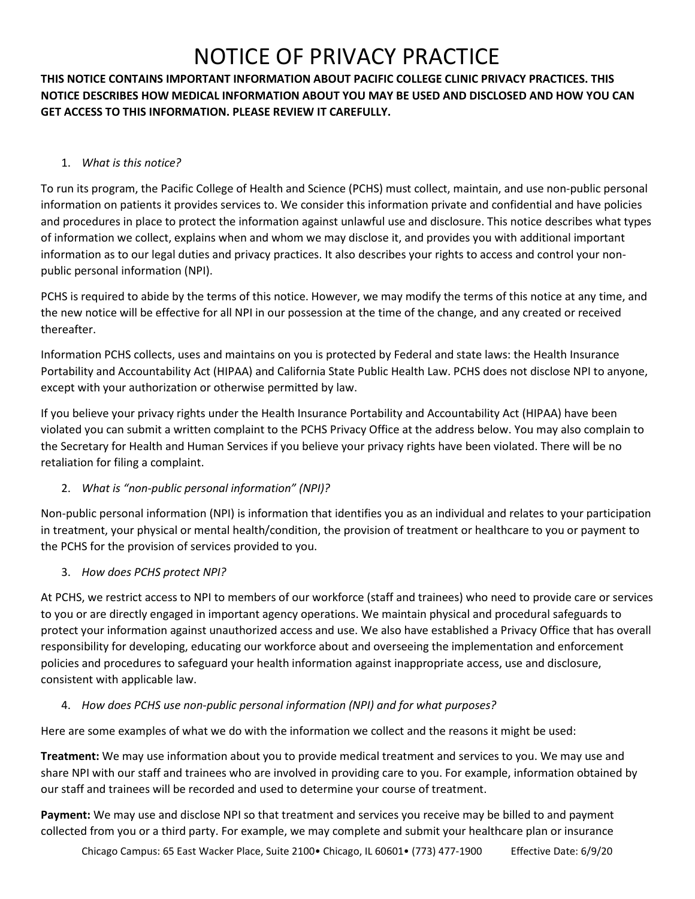**THIS NOTICE CONTAINS IMPORTANT INFORMATION ABOUT PACIFIC COLLEGE CLINIC PRIVACY PRACTICES. THIS NOTICE DESCRIBES HOW MEDICAL INFORMATION ABOUT YOU MAY BE USED AND DISCLOSED AND HOW YOU CAN GET ACCESS TO THIS INFORMATION. PLEASE REVIEW IT CAREFULLY.**

#### 1. *What is this notice?*

To run its program, the Pacific College of Health and Science (PCHS) must collect, maintain, and use non-public personal information on patients it provides services to. We consider this information private and confidential and have policies and procedures in place to protect the information against unlawful use and disclosure. This notice describes what types of information we collect, explains when and whom we may disclose it, and provides you with additional important information as to our legal duties and privacy practices. It also describes your rights to access and control your nonpublic personal information (NPI).

PCHS is required to abide by the terms of this notice. However, we may modify the terms of this notice at any time, and the new notice will be effective for all NPI in our possession at the time of the change, and any created or received thereafter.

Information PCHS collects, uses and maintains on you is protected by Federal and state laws: the Health Insurance Portability and Accountability Act (HIPAA) and California State Public Health Law. PCHS does not disclose NPI to anyone, except with your authorization or otherwise permitted by law.

If you believe your privacy rights under the Health Insurance Portability and Accountability Act (HIPAA) have been violated you can submit a written complaint to the PCHS Privacy Office at the address below. You may also complain to the Secretary for Health and Human Services if you believe your privacy rights have been violated. There will be no retaliation for filing a complaint.

## 2. *What is "non-public personal information" (NPI)?*

Non-public personal information (NPI) is information that identifies you as an individual and relates to your participation in treatment, your physical or mental health/condition, the provision of treatment or healthcare to you or payment to the PCHS for the provision of services provided to you.

#### 3. *How does PCHS protect NPI?*

At PCHS, we restrict access to NPI to members of our workforce (staff and trainees) who need to provide care or services to you or are directly engaged in important agency operations. We maintain physical and procedural safeguards to protect your information against unauthorized access and use. We also have established a Privacy Office that has overall responsibility for developing, educating our workforce about and overseeing the implementation and enforcement policies and procedures to safeguard your health information against inappropriate access, use and disclosure, consistent with applicable law.

## 4. *How does PCHS use non-public personal information (NPI) and for what purposes?*

Here are some examples of what we do with the information we collect and the reasons it might be used:

**Treatment:** We may use information about you to provide medical treatment and services to you. We may use and share NPI with our staff and trainees who are involved in providing care to you. For example, information obtained by our staff and trainees will be recorded and used to determine your course of treatment.

**Payment:** We may use and disclose NPI so that treatment and services you receive may be billed to and payment collected from you or a third party. For example, we may complete and submit your healthcare plan or insurance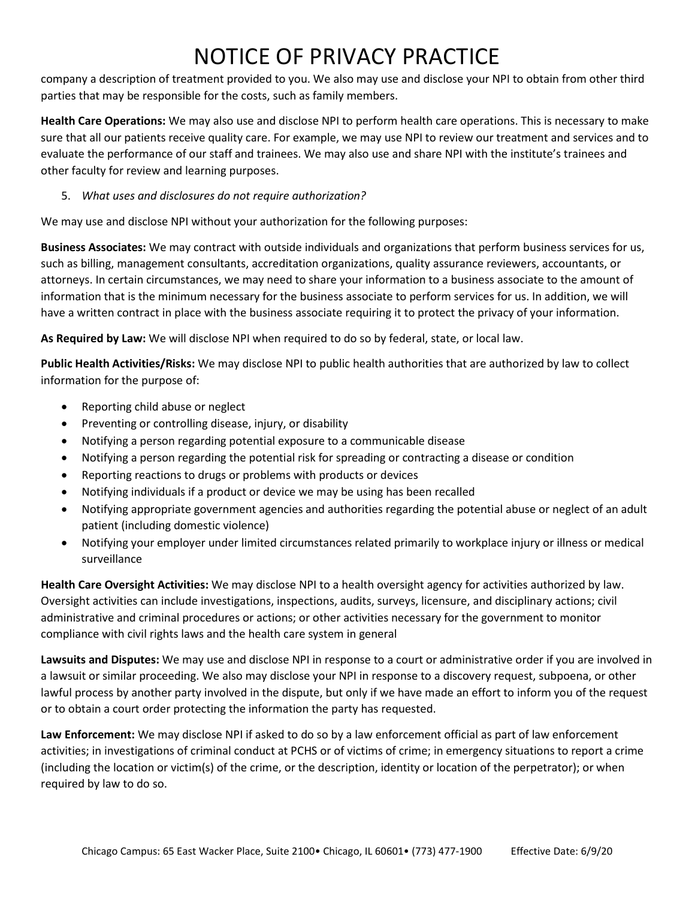company a description of treatment provided to you. We also may use and disclose your NPI to obtain from other third parties that may be responsible for the costs, such as family members.

**Health Care Operations:** We may also use and disclose NPI to perform health care operations. This is necessary to make sure that all our patients receive quality care. For example, we may use NPI to review our treatment and services and to evaluate the performance of our staff and trainees. We may also use and share NPI with the institute's trainees and other faculty for review and learning purposes.

5. *What uses and disclosures do not require authorization?*

We may use and disclose NPI without your authorization for the following purposes:

**Business Associates:** We may contract with outside individuals and organizations that perform business services for us, such as billing, management consultants, accreditation organizations, quality assurance reviewers, accountants, or attorneys. In certain circumstances, we may need to share your information to a business associate to the amount of information that is the minimum necessary for the business associate to perform services for us. In addition, we will have a written contract in place with the business associate requiring it to protect the privacy of your information.

**As Required by Law:** We will disclose NPI when required to do so by federal, state, or local law.

**Public Health Activities/Risks:** We may disclose NPI to public health authorities that are authorized by law to collect information for the purpose of:

- Reporting child abuse or neglect
- Preventing or controlling disease, injury, or disability
- Notifying a person regarding potential exposure to a communicable disease
- Notifying a person regarding the potential risk for spreading or contracting a disease or condition
- Reporting reactions to drugs or problems with products or devices
- Notifying individuals if a product or device we may be using has been recalled
- Notifying appropriate government agencies and authorities regarding the potential abuse or neglect of an adult patient (including domestic violence)
- Notifying your employer under limited circumstances related primarily to workplace injury or illness or medical surveillance

**Health Care Oversight Activities:** We may disclose NPI to a health oversight agency for activities authorized by law. Oversight activities can include investigations, inspections, audits, surveys, licensure, and disciplinary actions; civil administrative and criminal procedures or actions; or other activities necessary for the government to monitor compliance with civil rights laws and the health care system in general

**Lawsuits and Disputes:** We may use and disclose NPI in response to a court or administrative order if you are involved in a lawsuit or similar proceeding. We also may disclose your NPI in response to a discovery request, subpoena, or other lawful process by another party involved in the dispute, but only if we have made an effort to inform you of the request or to obtain a court order protecting the information the party has requested.

**Law Enforcement:** We may disclose NPI if asked to do so by a law enforcement official as part of law enforcement activities; in investigations of criminal conduct at PCHS or of victims of crime; in emergency situations to report a crime (including the location or victim(s) of the crime, or the description, identity or location of the perpetrator); or when required by law to do so.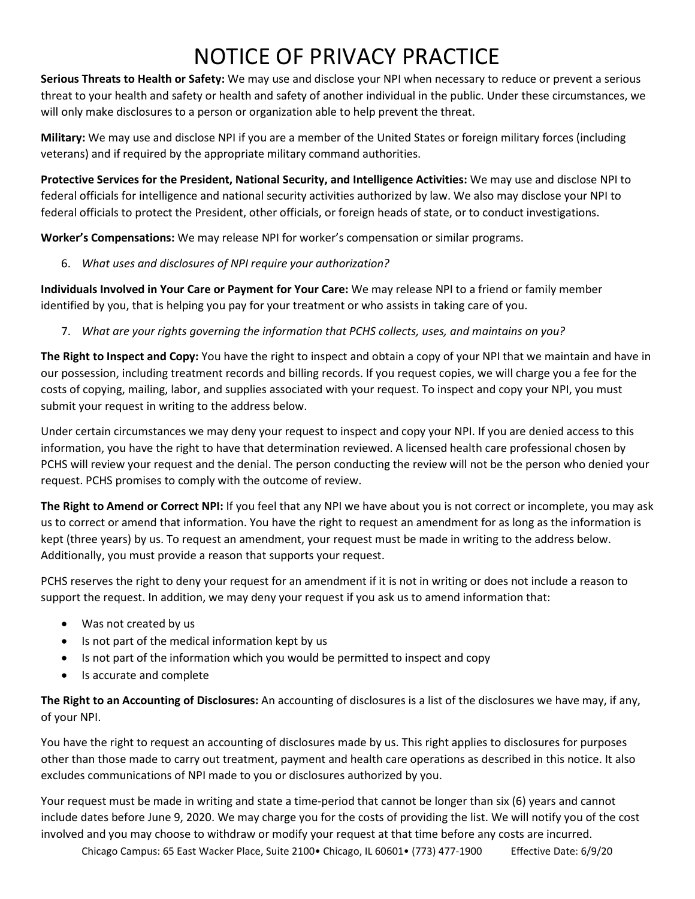**Serious Threats to Health or Safety:** We may use and disclose your NPI when necessary to reduce or prevent a serious threat to your health and safety or health and safety of another individual in the public. Under these circumstances, we will only make disclosures to a person or organization able to help prevent the threat.

**Military:** We may use and disclose NPI if you are a member of the United States or foreign military forces (including veterans) and if required by the appropriate military command authorities.

**Protective Services for the President, National Security, and Intelligence Activities:** We may use and disclose NPI to federal officials for intelligence and national security activities authorized by law. We also may disclose your NPI to federal officials to protect the President, other officials, or foreign heads of state, or to conduct investigations.

**Worker's Compensations:** We may release NPI for worker's compensation or similar programs.

6. *What uses and disclosures of NPI require your authorization?*

**Individuals Involved in Your Care or Payment for Your Care:** We may release NPI to a friend or family member identified by you, that is helping you pay for your treatment or who assists in taking care of you.

7. *What are your rights governing the information that PCHS collects, uses, and maintains on you?*

**The Right to Inspect and Copy:** You have the right to inspect and obtain a copy of your NPI that we maintain and have in our possession, including treatment records and billing records. If you request copies, we will charge you a fee for the costs of copying, mailing, labor, and supplies associated with your request. To inspect and copy your NPI, you must submit your request in writing to the address below.

Under certain circumstances we may deny your request to inspect and copy your NPI. If you are denied access to this information, you have the right to have that determination reviewed. A licensed health care professional chosen by PCHS will review your request and the denial. The person conducting the review will not be the person who denied your request. PCHS promises to comply with the outcome of review.

**The Right to Amend or Correct NPI:** If you feel that any NPI we have about you is not correct or incomplete, you may ask us to correct or amend that information. You have the right to request an amendment for as long as the information is kept (three years) by us. To request an amendment, your request must be made in writing to the address below. Additionally, you must provide a reason that supports your request.

PCHS reserves the right to deny your request for an amendment if it is not in writing or does not include a reason to support the request. In addition, we may deny your request if you ask us to amend information that:

- Was not created by us
- Is not part of the medical information kept by us
- Is not part of the information which you would be permitted to inspect and copy
- Is accurate and complete

**The Right to an Accounting of Disclosures:** An accounting of disclosures is a list of the disclosures we have may, if any, of your NPI.

You have the right to request an accounting of disclosures made by us. This right applies to disclosures for purposes other than those made to carry out treatment, payment and health care operations as described in this notice. It also excludes communications of NPI made to you or disclosures authorized by you.

Your request must be made in writing and state a time-period that cannot be longer than six (6) years and cannot include dates before June 9, 2020. We may charge you for the costs of providing the list. We will notify you of the cost involved and you may choose to withdraw or modify your request at that time before any costs are incurred.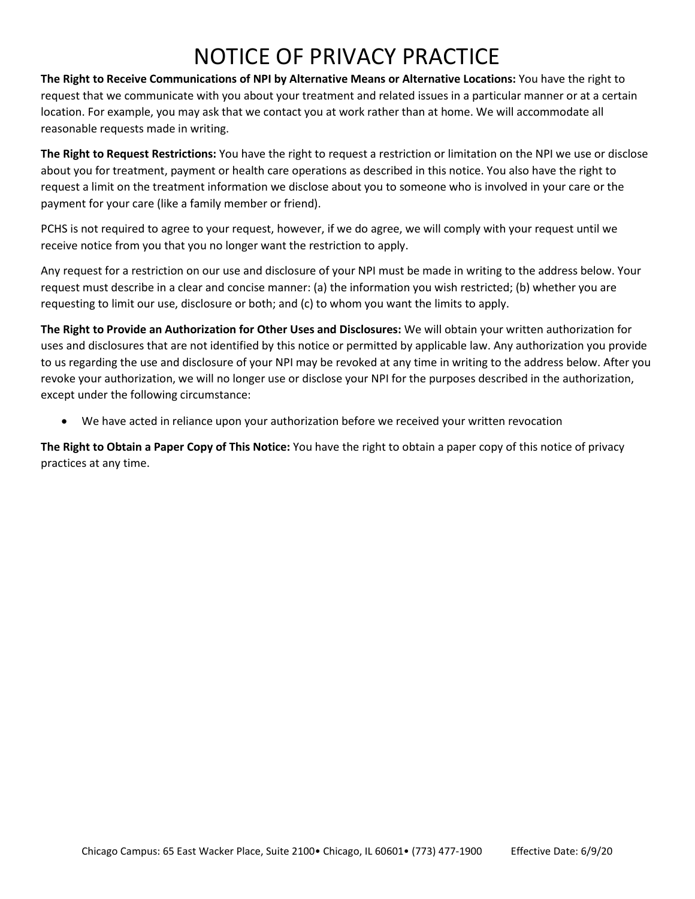**The Right to Receive Communications of NPI by Alternative Means or Alternative Locations:** You have the right to request that we communicate with you about your treatment and related issues in a particular manner or at a certain location. For example, you may ask that we contact you at work rather than at home. We will accommodate all reasonable requests made in writing.

**The Right to Request Restrictions:** You have the right to request a restriction or limitation on the NPI we use or disclose about you for treatment, payment or health care operations as described in this notice. You also have the right to request a limit on the treatment information we disclose about you to someone who is involved in your care or the payment for your care (like a family member or friend).

PCHS is not required to agree to your request, however, if we do agree, we will comply with your request until we receive notice from you that you no longer want the restriction to apply.

Any request for a restriction on our use and disclosure of your NPI must be made in writing to the address below. Your request must describe in a clear and concise manner: (a) the information you wish restricted; (b) whether you are requesting to limit our use, disclosure or both; and (c) to whom you want the limits to apply.

**The Right to Provide an Authorization for Other Uses and Disclosures:** We will obtain your written authorization for uses and disclosures that are not identified by this notice or permitted by applicable law. Any authorization you provide to us regarding the use and disclosure of your NPI may be revoked at any time in writing to the address below. After you revoke your authorization, we will no longer use or disclose your NPI for the purposes described in the authorization, except under the following circumstance:

• We have acted in reliance upon your authorization before we received your written revocation

**The Right to Obtain a Paper Copy of This Notice:** You have the right to obtain a paper copy of this notice of privacy practices at any time.